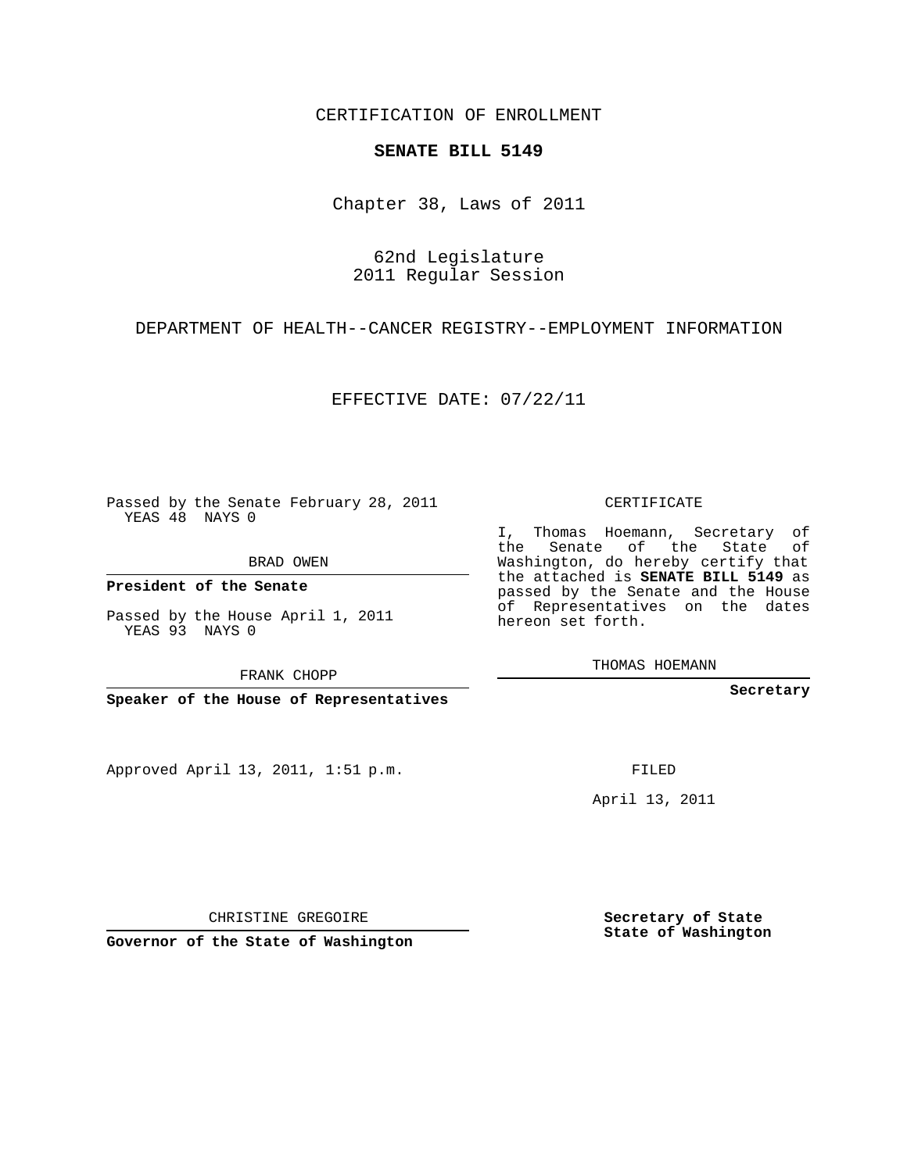CERTIFICATION OF ENROLLMENT

## **SENATE BILL 5149**

Chapter 38, Laws of 2011

62nd Legislature 2011 Regular Session

DEPARTMENT OF HEALTH--CANCER REGISTRY--EMPLOYMENT INFORMATION

EFFECTIVE DATE: 07/22/11

Passed by the Senate February 28, 2011 YEAS 48 NAYS 0

BRAD OWEN

**President of the Senate**

Passed by the House April 1, 2011 YEAS 93 NAYS 0

FRANK CHOPP

**Speaker of the House of Representatives**

Approved April 13, 2011, 1:51 p.m.

CERTIFICATE

I, Thomas Hoemann, Secretary of the Senate of the State of Washington, do hereby certify that the attached is **SENATE BILL 5149** as passed by the Senate and the House of Representatives on the dates hereon set forth.

THOMAS HOEMANN

**Secretary**

FILED

April 13, 2011

CHRISTINE GREGOIRE

**Governor of the State of Washington**

**Secretary of State State of Washington**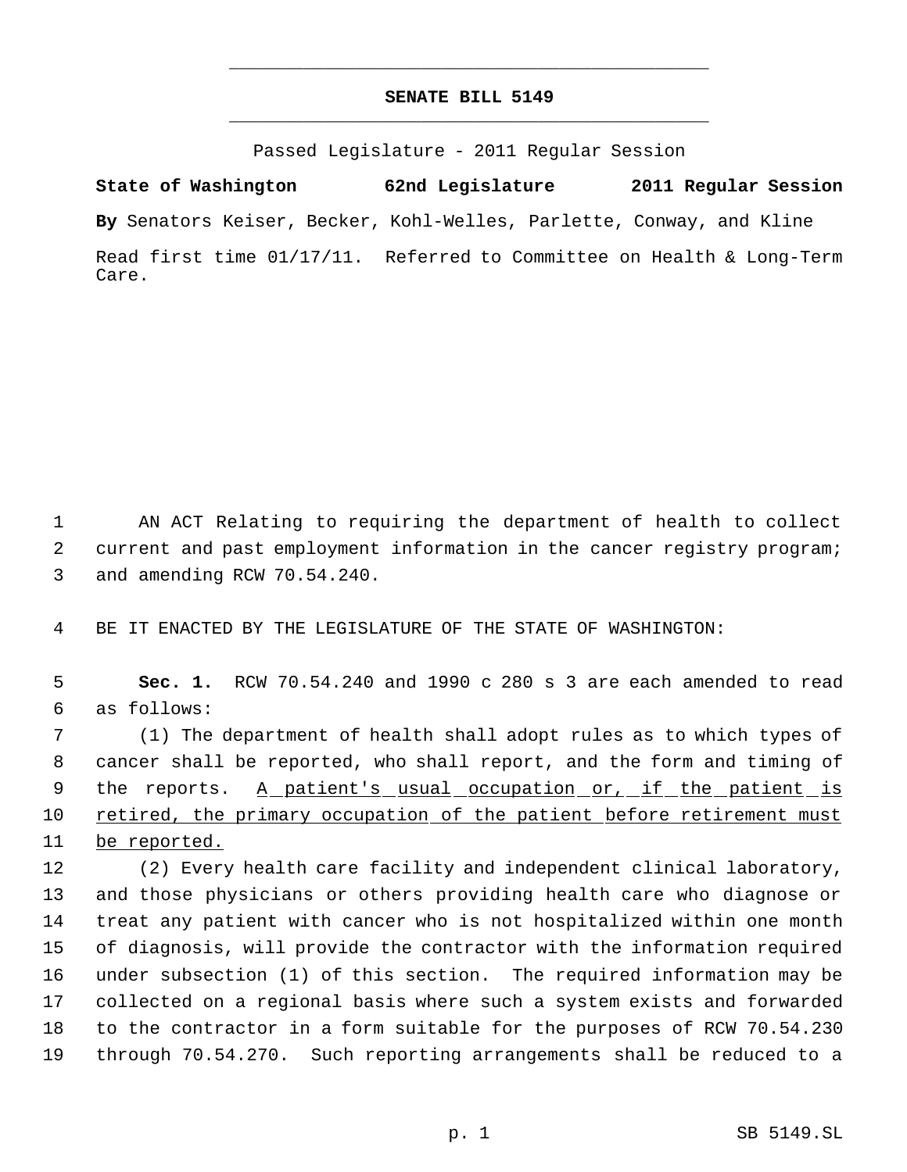## **SENATE BILL 5149** \_\_\_\_\_\_\_\_\_\_\_\_\_\_\_\_\_\_\_\_\_\_\_\_\_\_\_\_\_\_\_\_\_\_\_\_\_\_\_\_\_\_\_\_\_

\_\_\_\_\_\_\_\_\_\_\_\_\_\_\_\_\_\_\_\_\_\_\_\_\_\_\_\_\_\_\_\_\_\_\_\_\_\_\_\_\_\_\_\_\_

Passed Legislature - 2011 Regular Session

**State of Washington 62nd Legislature 2011 Regular Session By** Senators Keiser, Becker, Kohl-Welles, Parlette, Conway, and Kline Read first time 01/17/11. Referred to Committee on Health & Long-Term Care.

 AN ACT Relating to requiring the department of health to collect current and past employment information in the cancer registry program; and amending RCW 70.54.240.

BE IT ENACTED BY THE LEGISLATURE OF THE STATE OF WASHINGTON:

 **Sec. 1.** RCW 70.54.240 and 1990 c 280 s 3 are each amended to read as follows:

 (1) The department of health shall adopt rules as to which types of cancer shall be reported, who shall report, and the form and timing of 9 the reports. A patient's usual occupation or, if the patient is retired, the primary occupation of the patient before retirement must 11 be reported.

 (2) Every health care facility and independent clinical laboratory, and those physicians or others providing health care who diagnose or treat any patient with cancer who is not hospitalized within one month of diagnosis, will provide the contractor with the information required under subsection (1) of this section. The required information may be collected on a regional basis where such a system exists and forwarded to the contractor in a form suitable for the purposes of RCW 70.54.230 through 70.54.270. Such reporting arrangements shall be reduced to a